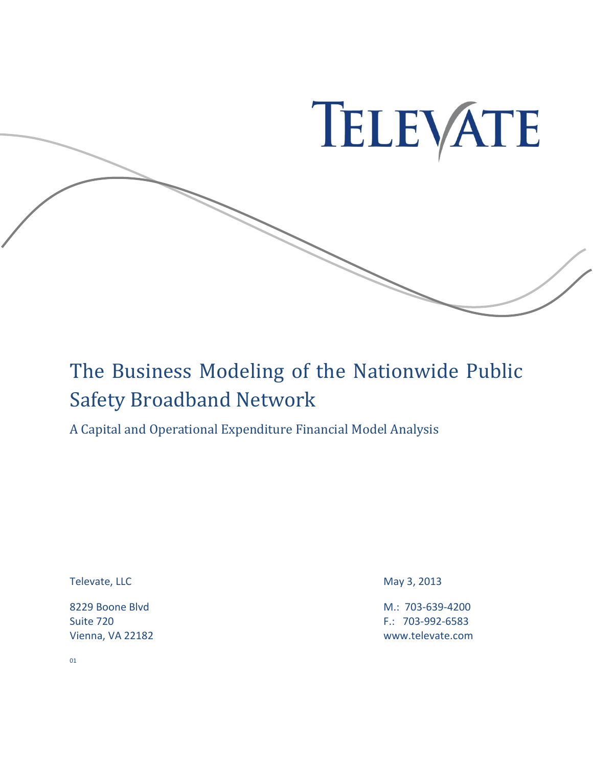

### The Business Modeling of the Nationwide Public Safety Broadband Network

A Capital and Operational Expenditure Financial Model Analysis

Televate, LLC May 3, 2013

8229 Boone Blvd M.: 703-639-4200 Suite 720 F.: 703-992-6583 Vienna, VA 22182 www.televate.com

01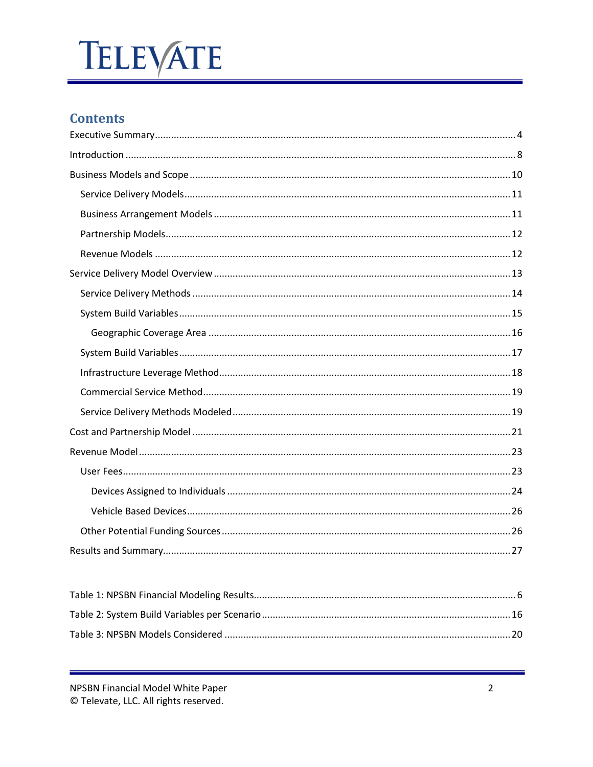### **Contents**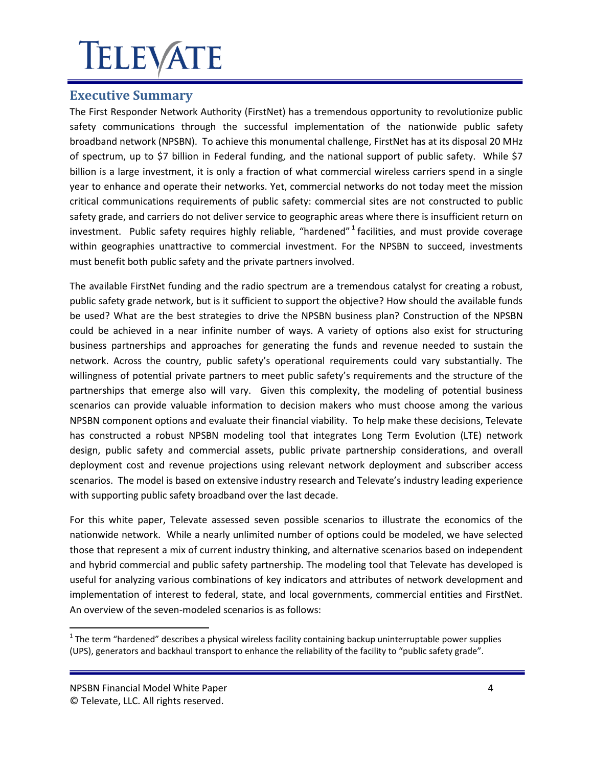### <span id="page-3-0"></span>**Executive Summary**

The First Responder Network Authority (FirstNet) has a tremendous opportunity to revolutionize public safety communications through the successful implementation of the nationwide public safety broadband network (NPSBN). To achieve this monumental challenge, FirstNet has at its disposal 20 MHz of spectrum, up to \$7 billion in Federal funding, and the national support of public safety. While \$7 billion is a large investment, it is only a fraction of what commercial wireless carriers spend in a single year to enhance and operate their networks. Yet, commercial networks do not today meet the mission critical communications requirements of public safety: commercial sites are not constructed to public safety grade, and carriers do not deliver service to geographic areas where there is insufficient return on investment. Public safety requires highly reliable, "hardened"<sup>1</sup> facilities, and must provide coverage within geographies unattractive to commercial investment. For the NPSBN to succeed, investments must benefit both public safety and the private partners involved.

The available FirstNet funding and the radio spectrum are a tremendous catalyst for creating a robust, public safety grade network, but is it sufficient to support the objective? How should the available funds be used? What are the best strategies to drive the NPSBN business plan? Construction of the NPSBN could be achieved in a near infinite number of ways. A variety of options also exist for structuring business partnerships and approaches for generating the funds and revenue needed to sustain the network. Across the country, public safety's operational requirements could vary substantially. The willingness of potential private partners to meet public safety's requirements and the structure of the partnerships that emerge also will vary. Given this complexity, the modeling of potential business scenarios can provide valuable information to decision makers who must choose among the various NPSBN component options and evaluate their financial viability. To help make these decisions, Televate has constructed a robust NPSBN modeling tool that integrates Long Term Evolution (LTE) network design, public safety and commercial assets, public private partnership considerations, and overall deployment cost and revenue projections using relevant network deployment and subscriber access scenarios. The model is based on extensive industry research and Televate's industry leading experience with supporting public safety broadband over the last decade.

For this white paper, Televate assessed seven possible scenarios to illustrate the economics of the nationwide network. While a nearly unlimited number of options could be modeled, we have selected those that represent a mix of current industry thinking, and alternative scenarios based on independent and hybrid commercial and public safety partnership. The modeling tool that Televate has developed is useful for analyzing various combinations of key indicators and attributes of network development and implementation of interest to federal, state, and local governments, commercial entities and FirstNet. An overview of the seven-modeled scenarios is as follows:

 $1$  The term "hardened" describes a physical wireless facility containing backup uninterruptable power supplies (UPS), generators and backhaul transport to enhance the reliability of the facility to "public safety grade".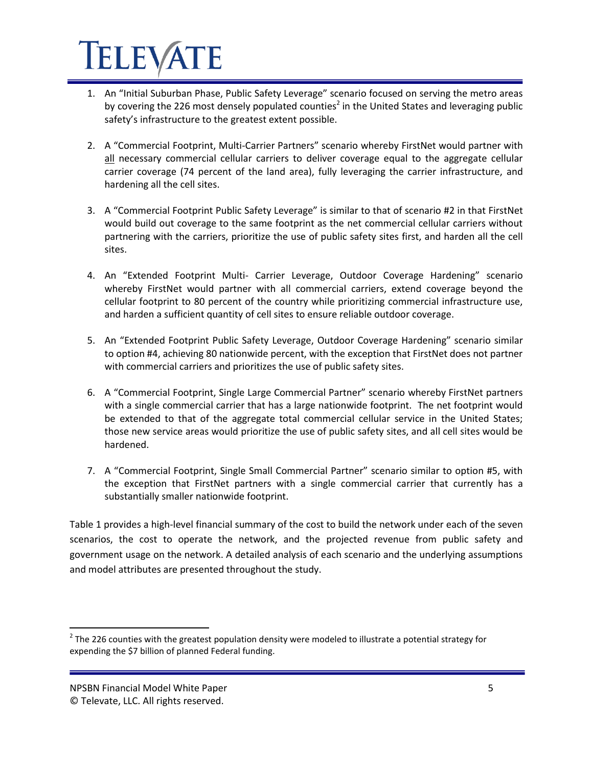- 1. An "Initial Suburban Phase, Public Safety Leverage" scenario focused on serving the metro areas by covering the 226 most densely populated counties<sup>2</sup> in the United States and leveraging public safety's infrastructure to the greatest extent possible.
- 2. A "Commercial Footprint, Multi-Carrier Partners" scenario whereby FirstNet would partner with all necessary commercial cellular carriers to deliver coverage equal to the aggregate cellular carrier coverage (74 percent of the land area), fully leveraging the carrier infrastructure, and hardening all the cell sites.
- 3. A "Commercial Footprint Public Safety Leverage" is similar to that of scenario #2 in that FirstNet would build out coverage to the same footprint as the net commercial cellular carriers without partnering with the carriers, prioritize the use of public safety sites first, and harden all the cell sites.
- 4. An "Extended Footprint Multi- Carrier Leverage, Outdoor Coverage Hardening" scenario whereby FirstNet would partner with all commercial carriers, extend coverage beyond the cellular footprint to 80 percent of the country while prioritizing commercial infrastructure use, and harden a sufficient quantity of cell sites to ensure reliable outdoor coverage.
- 5. An "Extended Footprint Public Safety Leverage, Outdoor Coverage Hardening" scenario similar to option #4, achieving 80 nationwide percent, with the exception that FirstNet does not partner with commercial carriers and prioritizes the use of public safety sites.
- 6. A "Commercial Footprint, Single Large Commercial Partner" scenario whereby FirstNet partners with a single commercial carrier that has a large nationwide footprint. The net footprint would be extended to that of the aggregate total commercial cellular service in the United States; those new service areas would prioritize the use of public safety sites, and all cell sites would be hardened.
- 7. A "Commercial Footprint, Single Small Commercial Partner" scenario similar to option #5, with the exception that FirstNet partners with a single commercial carrier that currently has a substantially smaller nationwide footprint.

Table 1 provides a high-level financial summary of the cost to build the network under each of the seven scenarios, the cost to operate the network, and the projected revenue from public safety and government usage on the network. A detailed analysis of each scenario and the underlying assumptions and model attributes are presented throughout the study.

 $^2$  The 226 counties with the greatest population density were modeled to illustrate a potential strategy for expending the \$7 billion of planned Federal funding.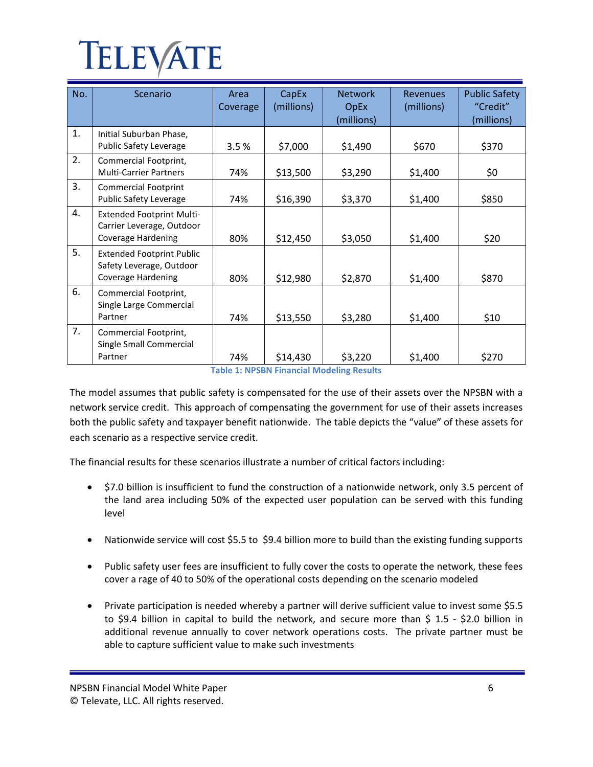| No. | Scenario                                                                                   | Area<br>Coverage | CapEx<br>(millions) | <b>Network</b><br><b>OpEx</b><br>(millions) | <b>Revenues</b><br>(millions) | <b>Public Safety</b><br>"Credit"<br>(millions) |
|-----|--------------------------------------------------------------------------------------------|------------------|---------------------|---------------------------------------------|-------------------------------|------------------------------------------------|
| 1.  | Initial Suburban Phase,<br><b>Public Safety Leverage</b>                                   | 3.5%             | \$7,000             | \$1,490                                     | \$670                         | \$370                                          |
| 2.  | Commercial Footprint,<br><b>Multi-Carrier Partners</b>                                     | 74%              | \$13,500            | \$3,290                                     | \$1,400                       | \$0                                            |
| 3.  | <b>Commercial Footprint</b><br>Public Safety Leverage                                      | 74%              | \$16,390            | \$3,370                                     | \$1,400                       | \$850                                          |
| 4.  | <b>Extended Footprint Multi-</b><br>Carrier Leverage, Outdoor<br><b>Coverage Hardening</b> | 80%              | \$12,450            | \$3,050                                     | \$1,400                       | \$20                                           |
| 5.  | <b>Extended Footprint Public</b><br>Safety Leverage, Outdoor<br><b>Coverage Hardening</b>  | 80%              | \$12,980            | \$2,870                                     | \$1,400                       | \$870                                          |
| 6.  | Commercial Footprint,<br>Single Large Commercial<br>Partner                                | 74%              | \$13,550            | \$3,280                                     | \$1,400                       | \$10                                           |
| 7.  | Commercial Footprint,<br>Single Small Commercial<br>Partner                                | 74%              | \$14,430            | \$3,220                                     | \$1,400                       | \$270                                          |

**Table 1: NPSBN Financial Modeling Results**

<span id="page-5-0"></span>The model assumes that public safety is compensated for the use of their assets over the NPSBN with a network service credit. This approach of compensating the government for use of their assets increases both the public safety and taxpayer benefit nationwide. The table depicts the "value" of these assets for each scenario as a respective service credit.

The financial results for these scenarios illustrate a number of critical factors including:

- \$7.0 billion is insufficient to fund the construction of a nationwide network, only 3.5 percent of the land area including 50% of the expected user population can be served with this funding level
- Nationwide service will cost \$5.5 to \$9.4 billion more to build than the existing funding supports
- Public safety user fees are insufficient to fully cover the costs to operate the network, these fees cover a rage of 40 to 50% of the operational costs depending on the scenario modeled
- Private participation is needed whereby a partner will derive sufficient value to invest some \$5.5 to \$9.4 billion in capital to build the network, and secure more than \$ 1.5 - \$2.0 billion in additional revenue annually to cover network operations costs. The private partner must be able to capture sufficient value to make such investments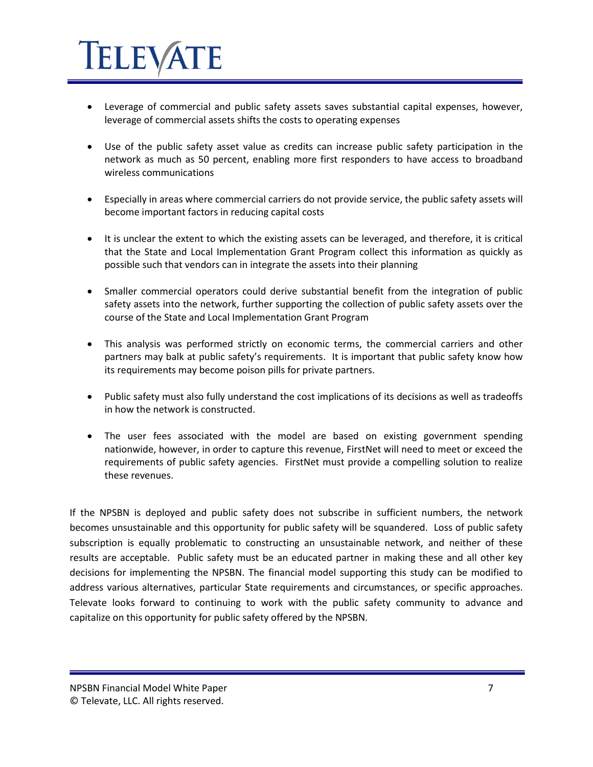# **IELEVA**

- Leverage of commercial and public safety assets saves substantial capital expenses, however, leverage of commercial assets shifts the costs to operating expenses
- Use of the public safety asset value as credits can increase public safety participation in the network as much as 50 percent, enabling more first responders to have access to broadband wireless communications
- Especially in areas where commercial carriers do not provide service, the public safety assets will become important factors in reducing capital costs
- It is unclear the extent to which the existing assets can be leveraged, and therefore, it is critical that the State and Local Implementation Grant Program collect this information as quickly as possible such that vendors can in integrate the assets into their planning
- Smaller commercial operators could derive substantial benefit from the integration of public safety assets into the network, further supporting the collection of public safety assets over the course of the State and Local Implementation Grant Program
- This analysis was performed strictly on economic terms, the commercial carriers and other partners may balk at public safety's requirements. It is important that public safety know how its requirements may become poison pills for private partners.
- Public safety must also fully understand the cost implications of its decisions as well as tradeoffs in how the network is constructed.
- The user fees associated with the model are based on existing government spending nationwide, however, in order to capture this revenue, FirstNet will need to meet or exceed the requirements of public safety agencies. FirstNet must provide a compelling solution to realize these revenues.

If the NPSBN is deployed and public safety does not subscribe in sufficient numbers, the network becomes unsustainable and this opportunity for public safety will be squandered. Loss of public safety subscription is equally problematic to constructing an unsustainable network, and neither of these results are acceptable. Public safety must be an educated partner in making these and all other key decisions for implementing the NPSBN. The financial model supporting this study can be modified to address various alternatives, particular State requirements and circumstances, or specific approaches. Televate looks forward to continuing to work with the public safety community to advance and capitalize on this opportunity for public safety offered by the NPSBN.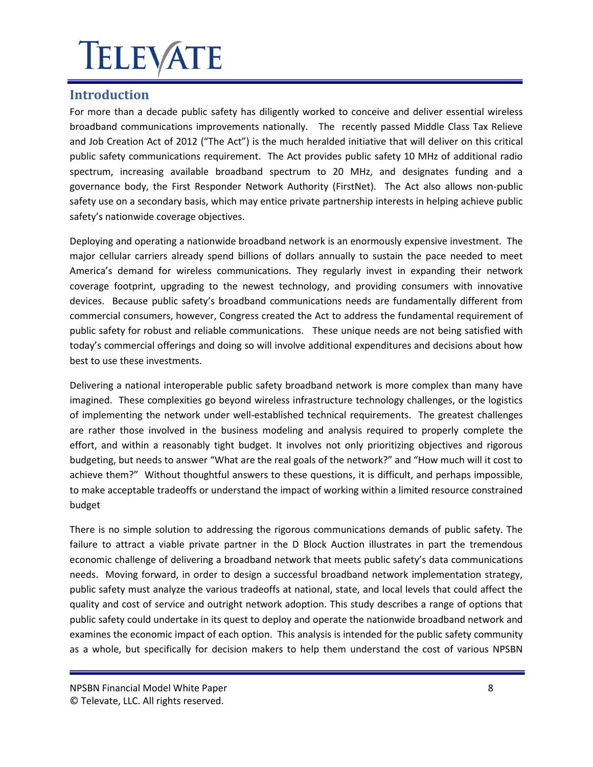### <span id="page-7-0"></span>**Introduction**

For more than a decade public safety has diligently worked to conceive and deliver essential wireless broadband communications improvements nationally. The recently passed Middle Class Tax Relieve and Job Creation Act of 2012 ("The Act") is the much heralded initiative that will deliver on this critical public safety communications requirement. The Act provides public safety 10 MHz of additional radio spectrum, increasing available broadband spectrum to 20 MHz, and designates funding and a governance body, the First Responder Network Authority (FirstNet). The Act also allows non-public safety use on a secondary basis, which may entice private partnership interests in helping achieve public safety's nationwide coverage objectives.

Deploying and operating a nationwide broadband network is an enormously expensive investment. The major cellular carriers already spend billions of dollars annually to sustain the pace needed to meet America's demand for wireless communications. They regularly invest in expanding their network coverage footprint, upgrading to the newest technology, and providing consumers with innovative devices. Because public safety's broadband communications needs are fundamentally different from commercial consumers, however, Congress created the Act to address the fundamental requirement of public safety for robust and reliable communications. These unique needs are not being satisfied with today's commercial offerings and doing so will involve additional expenditures and decisions about how best to use these investments.

Delivering a national interoperable public safety broadband network is more complex than many have imagined. These complexities go beyond wireless infrastructure technology challenges, or the logistics of implementing the network under well-established technical requirements. The greatest challenges are rather those involved in the business modeling and analysis required to properly complete the effort, and within a reasonably tight budget. It involves not only prioritizing objectives and rigorous budgeting, but needs to answer "What are the real goals of the network?" and "How much will it cost to achieve them?" Without thoughtful answers to these questions, it is difficult, and perhaps impossible, to make acceptable tradeoffs or understand the impact of working within a limited resource constrained budget

There is no simple solution to addressing the rigorous communications demands of public safety. The failure to attract a viable private partner in the D Block Auction illustrates in part the tremendous economic challenge of delivering a broadband network that meets public safety's data communications needs. Moving forward, in order to design a successful broadband network implementation strategy, public safety must analyze the various tradeoffs at national, state, and local levels that could affect the quality and cost of service and outright network adoption. This study describes a range of options that public safety could undertake in its quest to deploy and operate the nationwide broadband network and examines the economic impact of each option. This analysis is intended for the public safety community as a whole, but specifically for decision makers to help them understand the cost of various NPSBN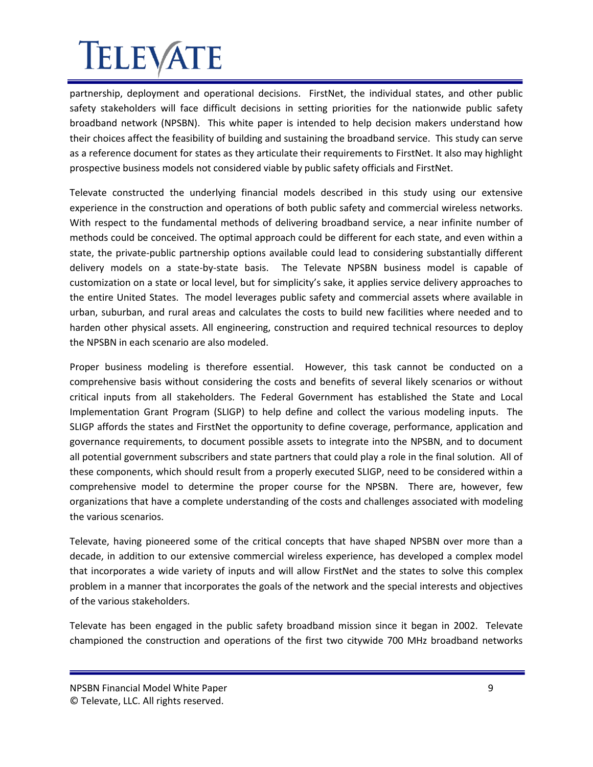partnership, deployment and operational decisions. FirstNet, the individual states, and other public safety stakeholders will face difficult decisions in setting priorities for the nationwide public safety broadband network (NPSBN). This white paper is intended to help decision makers understand how their choices affect the feasibility of building and sustaining the broadband service. This study can serve as a reference document for states as they articulate their requirements to FirstNet. It also may highlight prospective business models not considered viable by public safety officials and FirstNet.

Televate constructed the underlying financial models described in this study using our extensive experience in the construction and operations of both public safety and commercial wireless networks. With respect to the fundamental methods of delivering broadband service, a near infinite number of methods could be conceived. The optimal approach could be different for each state, and even within a state, the private-public partnership options available could lead to considering substantially different delivery models on a state-by-state basis. The Televate NPSBN business model is capable of customization on a state or local level, but for simplicity's sake, it applies service delivery approaches to the entire United States. The model leverages public safety and commercial assets where available in urban, suburban, and rural areas and calculates the costs to build new facilities where needed and to harden other physical assets. All engineering, construction and required technical resources to deploy the NPSBN in each scenario are also modeled.

Proper business modeling is therefore essential. However, this task cannot be conducted on a comprehensive basis without considering the costs and benefits of several likely scenarios or without critical inputs from all stakeholders. The Federal Government has established the State and Local Implementation Grant Program (SLIGP) to help define and collect the various modeling inputs. The SLIGP affords the states and FirstNet the opportunity to define coverage, performance, application and governance requirements, to document possible assets to integrate into the NPSBN, and to document all potential government subscribers and state partners that could play a role in the final solution. All of these components, which should result from a properly executed SLIGP, need to be considered within a comprehensive model to determine the proper course for the NPSBN. There are, however, few organizations that have a complete understanding of the costs and challenges associated with modeling the various scenarios.

Televate, having pioneered some of the critical concepts that have shaped NPSBN over more than a decade, in addition to our extensive commercial wireless experience, has developed a complex model that incorporates a wide variety of inputs and will allow FirstNet and the states to solve this complex problem in a manner that incorporates the goals of the network and the special interests and objectives of the various stakeholders.

Televate has been engaged in the public safety broadband mission since it began in 2002. Televate championed the construction and operations of the first two citywide 700 MHz broadband networks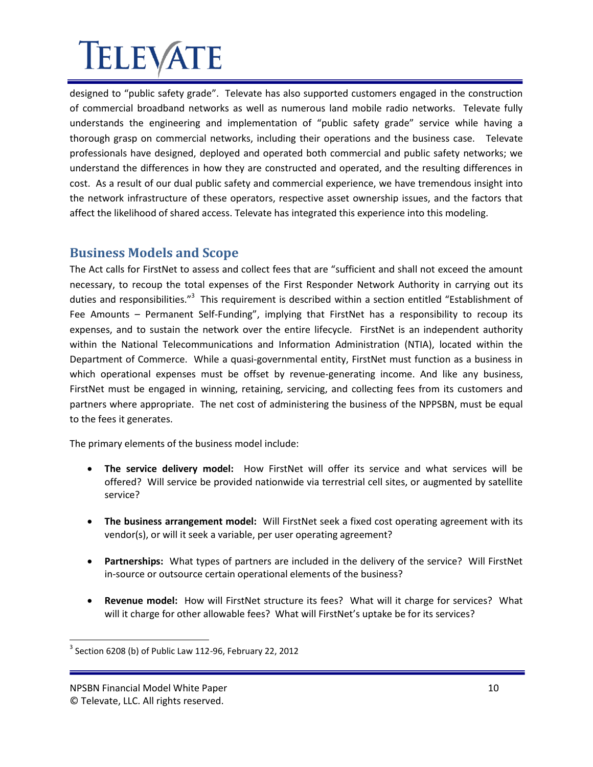designed to "public safety grade". Televate has also supported customers engaged in the construction of commercial broadband networks as well as numerous land mobile radio networks. Televate fully understands the engineering and implementation of "public safety grade" service while having a thorough grasp on commercial networks, including their operations and the business case. Televate professionals have designed, deployed and operated both commercial and public safety networks; we understand the differences in how they are constructed and operated, and the resulting differences in cost. As a result of our dual public safety and commercial experience, we have tremendous insight into the network infrastructure of these operators, respective asset ownership issues, and the factors that affect the likelihood of shared access. Televate has integrated this experience into this modeling.

### <span id="page-9-0"></span>**Business Models and Scope**

The Act calls for FirstNet to assess and collect fees that are "sufficient and shall not exceed the amount necessary, to recoup the total expenses of the First Responder Network Authority in carrying out its duties and responsibilities."<sup>3</sup> This requirement is described within a section entitled "Establishment of Fee Amounts – Permanent Self-Funding", implying that FirstNet has a responsibility to recoup its expenses, and to sustain the network over the entire lifecycle. FirstNet is an independent authority within the National Telecommunications and Information Administration (NTIA), located within the Department of Commerce. While a quasi-governmental entity, FirstNet must function as a business in which operational expenses must be offset by revenue-generating income. And like any business, FirstNet must be engaged in winning, retaining, servicing, and collecting fees from its customers and partners where appropriate. The net cost of administering the business of the NPPSBN, must be equal to the fees it generates.

The primary elements of the business model include:

- **The service delivery model:** How FirstNet will offer its service and what services will be offered? Will service be provided nationwide via terrestrial cell sites, or augmented by satellite service?
- **The business arrangement model:** Will FirstNet seek a fixed cost operating agreement with its vendor(s), or will it seek a variable, per user operating agreement?
- **Partnerships:** What types of partners are included in the delivery of the service? Will FirstNet in-source or outsource certain operational elements of the business?
- **Revenue model:** How will FirstNet structure its fees? What will it charge for services? What will it charge for other allowable fees? What will FirstNet's uptake be for its services?

 $3$  Section 6208 (b) of Public Law 112-96, February 22, 2012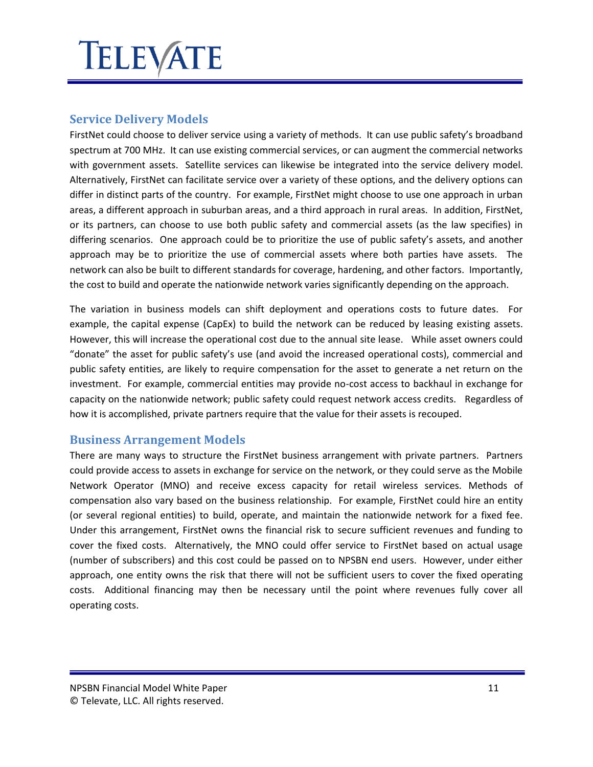#### <span id="page-10-0"></span>**Service Delivery Models**

FirstNet could choose to deliver service using a variety of methods. It can use public safety's broadband spectrum at 700 MHz. It can use existing commercial services, or can augment the commercial networks with government assets. Satellite services can likewise be integrated into the service delivery model. Alternatively, FirstNet can facilitate service over a variety of these options, and the delivery options can differ in distinct parts of the country. For example, FirstNet might choose to use one approach in urban areas, a different approach in suburban areas, and a third approach in rural areas. In addition, FirstNet, or its partners, can choose to use both public safety and commercial assets (as the law specifies) in differing scenarios. One approach could be to prioritize the use of public safety's assets, and another approach may be to prioritize the use of commercial assets where both parties have assets. The network can also be built to different standards for coverage, hardening, and other factors. Importantly, the cost to build and operate the nationwide network varies significantly depending on the approach.

The variation in business models can shift deployment and operations costs to future dates. For example, the capital expense (CapEx) to build the network can be reduced by leasing existing assets. However, this will increase the operational cost due to the annual site lease. While asset owners could "donate" the asset for public safety's use (and avoid the increased operational costs), commercial and public safety entities, are likely to require compensation for the asset to generate a net return on the investment. For example, commercial entities may provide no-cost access to backhaul in exchange for capacity on the nationwide network; public safety could request network access credits. Regardless of how it is accomplished, private partners require that the value for their assets is recouped.

#### <span id="page-10-1"></span>**Business Arrangement Models**

There are many ways to structure the FirstNet business arrangement with private partners. Partners could provide access to assets in exchange for service on the network, or they could serve as the Mobile Network Operator (MNO) and receive excess capacity for retail wireless services. Methods of compensation also vary based on the business relationship. For example, FirstNet could hire an entity (or several regional entities) to build, operate, and maintain the nationwide network for a fixed fee. Under this arrangement, FirstNet owns the financial risk to secure sufficient revenues and funding to cover the fixed costs. Alternatively, the MNO could offer service to FirstNet based on actual usage (number of subscribers) and this cost could be passed on to NPSBN end users. However, under either approach, one entity owns the risk that there will not be sufficient users to cover the fixed operating costs. Additional financing may then be necessary until the point where revenues fully cover all operating costs.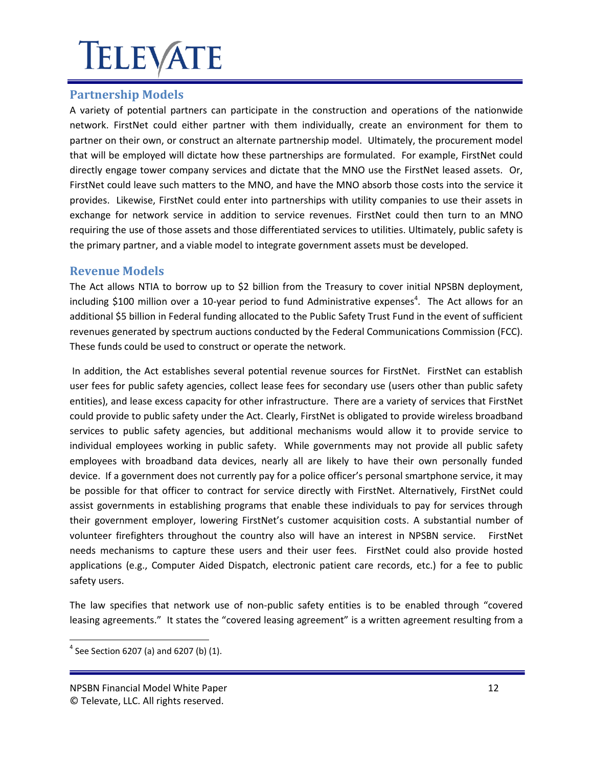### <span id="page-11-0"></span>**Partnership Models**

A variety of potential partners can participate in the construction and operations of the nationwide network. FirstNet could either partner with them individually, create an environment for them to partner on their own, or construct an alternate partnership model. Ultimately, the procurement model that will be employed will dictate how these partnerships are formulated. For example, FirstNet could directly engage tower company services and dictate that the MNO use the FirstNet leased assets. Or, FirstNet could leave such matters to the MNO, and have the MNO absorb those costs into the service it provides. Likewise, FirstNet could enter into partnerships with utility companies to use their assets in exchange for network service in addition to service revenues. FirstNet could then turn to an MNO requiring the use of those assets and those differentiated services to utilities. Ultimately, public safety is the primary partner, and a viable model to integrate government assets must be developed.

#### <span id="page-11-1"></span>**Revenue Models**

The Act allows NTIA to borrow up to \$2 billion from the Treasury to cover initial NPSBN deployment, including \$100 million over a 10-year period to fund Administrative expenses<sup>4</sup>. The Act allows for an additional \$5 billion in Federal funding allocated to the Public Safety Trust Fund in the event of sufficient revenues generated by spectrum auctions conducted by the Federal Communications Commission (FCC). These funds could be used to construct or operate the network.

In addition, the Act establishes several potential revenue sources for FirstNet. FirstNet can establish user fees for public safety agencies, collect lease fees for secondary use (users other than public safety entities), and lease excess capacity for other infrastructure. There are a variety of services that FirstNet could provide to public safety under the Act. Clearly, FirstNet is obligated to provide wireless broadband services to public safety agencies, but additional mechanisms would allow it to provide service to individual employees working in public safety. While governments may not provide all public safety employees with broadband data devices, nearly all are likely to have their own personally funded device. If a government does not currently pay for a police officer's personal smartphone service, it may be possible for that officer to contract for service directly with FirstNet. Alternatively, FirstNet could assist governments in establishing programs that enable these individuals to pay for services through their government employer, lowering FirstNet's customer acquisition costs. A substantial number of volunteer firefighters throughout the country also will have an interest in NPSBN service. FirstNet needs mechanisms to capture these users and their user fees. FirstNet could also provide hosted applications (e.g., Computer Aided Dispatch, electronic patient care records, etc.) for a fee to public safety users.

The law specifies that network use of non-public safety entities is to be enabled through "covered leasing agreements." It states the "covered leasing agreement" is a written agreement resulting from a

 $4$  See Section 6207 (a) and 6207 (b) (1).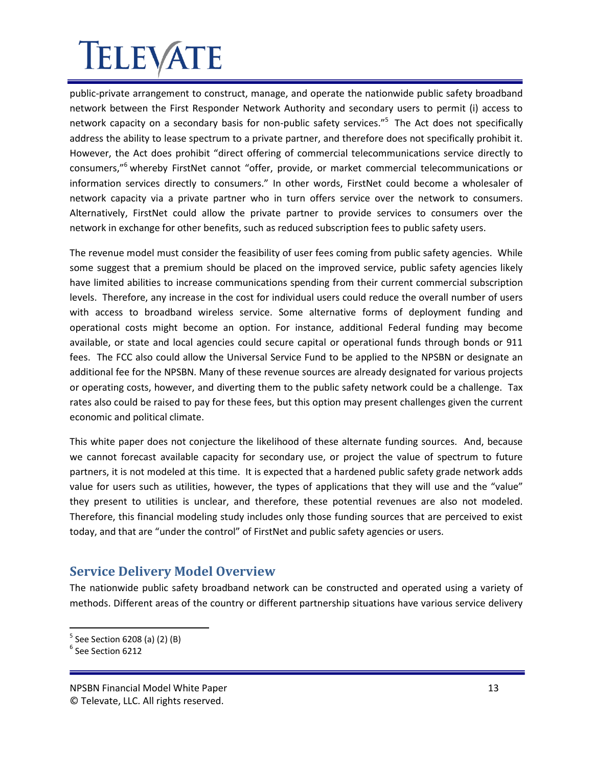public-private arrangement to construct, manage, and operate the nationwide public safety broadband network between the First Responder Network Authority and secondary users to permit (i) access to network capacity on a secondary basis for non-public safety services."<sup>5</sup> The Act does not specifically address the ability to lease spectrum to a private partner, and therefore does not specifically prohibit it. However, the Act does prohibit "direct offering of commercial telecommunications service directly to consumers,"<sup>6</sup> whereby FirstNet cannot "offer, provide, or market commercial telecommunications or information services directly to consumers." In other words, FirstNet could become a wholesaler of network capacity via a private partner who in turn offers service over the network to consumers. Alternatively, FirstNet could allow the private partner to provide services to consumers over the network in exchange for other benefits, such as reduced subscription fees to public safety users.

The revenue model must consider the feasibility of user fees coming from public safety agencies. While some suggest that a premium should be placed on the improved service, public safety agencies likely have limited abilities to increase communications spending from their current commercial subscription levels. Therefore, any increase in the cost for individual users could reduce the overall number of users with access to broadband wireless service. Some alternative forms of deployment funding and operational costs might become an option. For instance, additional Federal funding may become available, or state and local agencies could secure capital or operational funds through bonds or 911 fees. The FCC also could allow the Universal Service Fund to be applied to the NPSBN or designate an additional fee for the NPSBN. Many of these revenue sources are already designated for various projects or operating costs, however, and diverting them to the public safety network could be a challenge. Tax rates also could be raised to pay for these fees, but this option may present challenges given the current economic and political climate.

This white paper does not conjecture the likelihood of these alternate funding sources. And, because we cannot forecast available capacity for secondary use, or project the value of spectrum to future partners, it is not modeled at this time. It is expected that a hardened public safety grade network adds value for users such as utilities, however, the types of applications that they will use and the "value" they present to utilities is unclear, and therefore, these potential revenues are also not modeled. Therefore, this financial modeling study includes only those funding sources that are perceived to exist today, and that are "under the control" of FirstNet and public safety agencies or users.

### <span id="page-12-0"></span>**Service Delivery Model Overview**

The nationwide public safety broadband network can be constructed and operated using a variety of methods. Different areas of the country or different partnership situations have various service delivery

<sup>&</sup>lt;sup>5</sup> See Section 6208 (a) (2) (B)

 $^6$  See Section 6212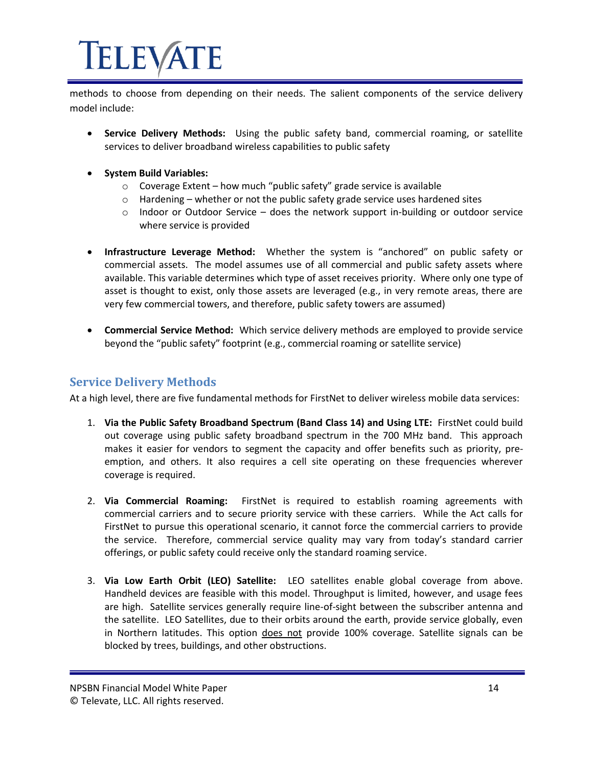methods to choose from depending on their needs. The salient components of the service delivery model include:

- **Service Delivery Methods:** Using the public safety band, commercial roaming, or satellite services to deliver broadband wireless capabilities to public safety
- **•** System Build Variables:
	- o Coverage Extent how much "public safety" grade service is available
	- $\circ$  Hardening whether or not the public safety grade service uses hardened sites
	- $\circ$  Indoor or Outdoor Service does the network support in-building or outdoor service where service is provided
- **Infrastructure Leverage Method:** Whether the system is "anchored" on public safety or commercial assets. The model assumes use of all commercial and public safety assets where available. This variable determines which type of asset receives priority. Where only one type of asset is thought to exist, only those assets are leveraged (e.g., in very remote areas, there are very few commercial towers, and therefore, public safety towers are assumed)
- **Commercial Service Method:** Which service delivery methods are employed to provide service beyond the "public safety" footprint (e.g., commercial roaming or satellite service)

#### <span id="page-13-0"></span>**Service Delivery Methods**

At a high level, there are five fundamental methods for FirstNet to deliver wireless mobile data services:

- 1. **Via the Public Safety Broadband Spectrum (Band Class 14) and Using LTE:** FirstNet could build out coverage using public safety broadband spectrum in the 700 MHz band. This approach makes it easier for vendors to segment the capacity and offer benefits such as priority, preemption, and others. It also requires a cell site operating on these frequencies wherever coverage is required.
- 2. **Via Commercial Roaming:** FirstNet is required to establish roaming agreements with commercial carriers and to secure priority service with these carriers. While the Act calls for FirstNet to pursue this operational scenario, it cannot force the commercial carriers to provide the service. Therefore, commercial service quality may vary from today's standard carrier offerings, or public safety could receive only the standard roaming service.
- 3. **Via Low Earth Orbit (LEO) Satellite:** LEO satellites enable global coverage from above. Handheld devices are feasible with this model. Throughput is limited, however, and usage fees are high. Satellite services generally require line-of-sight between the subscriber antenna and the satellite. LEO Satellites, due to their orbits around the earth, provide service globally, even in Northern latitudes. This option does not provide 100% coverage. Satellite signals can be blocked by trees, buildings, and other obstructions.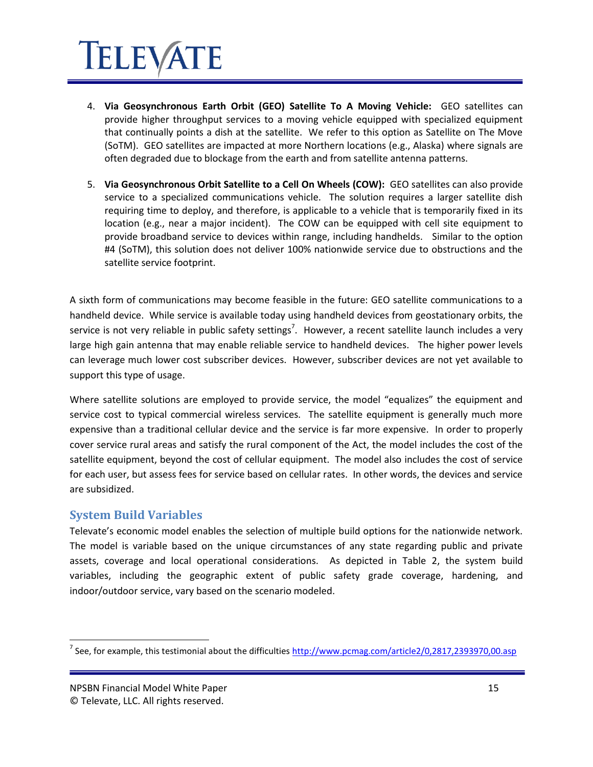### IELEVATE

- 4. **Via Geosynchronous Earth Orbit (GEO) Satellite To A Moving Vehicle:** GEO satellites can provide higher throughput services to a moving vehicle equipped with specialized equipment that continually points a dish at the satellite. We refer to this option as Satellite on The Move (SoTM). GEO satellites are impacted at more Northern locations (e.g., Alaska) where signals are often degraded due to blockage from the earth and from satellite antenna patterns.
- 5. **Via Geosynchronous Orbit Satellite to a Cell On Wheels (COW):** GEO satellites can also provide service to a specialized communications vehicle. The solution requires a larger satellite dish requiring time to deploy, and therefore, is applicable to a vehicle that is temporarily fixed in its location (e.g., near a major incident). The COW can be equipped with cell site equipment to provide broadband service to devices within range, including handhelds. Similar to the option #4 (SoTM), this solution does not deliver 100% nationwide service due to obstructions and the satellite service footprint.

A sixth form of communications may become feasible in the future: GEO satellite communications to a handheld device. While service is available today using handheld devices from geostationary orbits, the service is not very reliable in public safety settings<sup>7</sup>. However, a recent satellite launch includes a very large high gain antenna that may enable reliable service to handheld devices. The higher power levels can leverage much lower cost subscriber devices. However, subscriber devices are not yet available to support this type of usage.

Where satellite solutions are employed to provide service, the model "equalizes" the equipment and service cost to typical commercial wireless services. The satellite equipment is generally much more expensive than a traditional cellular device and the service is far more expensive. In order to properly cover service rural areas and satisfy the rural component of the Act, the model includes the cost of the satellite equipment, beyond the cost of cellular equipment. The model also includes the cost of service for each user, but assess fees for service based on cellular rates. In other words, the devices and service are subsidized.

#### <span id="page-14-0"></span>**System Build Variables**

Televate's economic model enables the selection of multiple build options for the nationwide network. The model is variable based on the unique circumstances of any state regarding public and private assets, coverage and local operational considerations. As depicted in Table 2, the system build variables, including the geographic extent of public safety grade coverage, hardening, and indoor/outdoor service, vary based on the scenario modeled.

<sup>&</sup>lt;sup>7</sup> See, for example, this testimonial about the difficulties <u>http://www.pcmag.com/article2/0,2817,2393970,00.asp</u>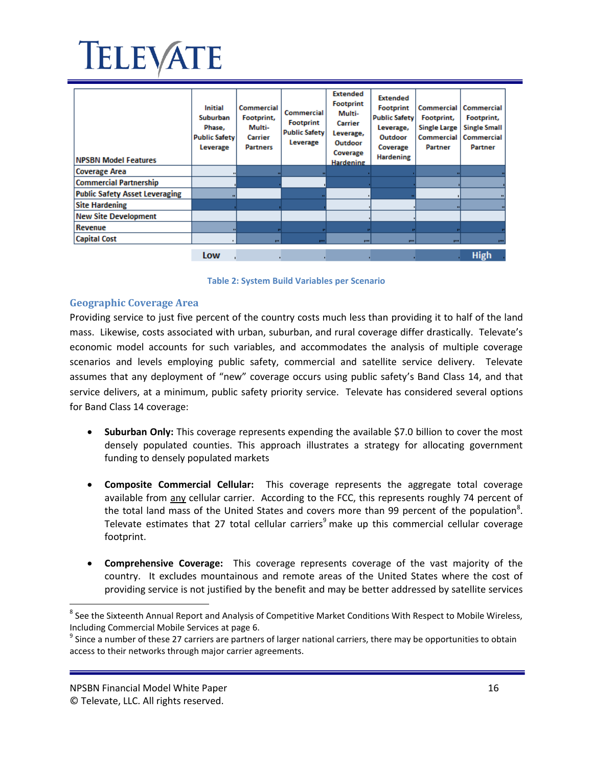

| <b>NPSBN Model Features</b>           | <b>Initial</b><br>Suburban<br>Phase.<br><b>Public Safety</b><br>Leverage | Commercial<br>Footprint,<br>Multi-<br>Carrier<br><b>Partners</b> | <b>Commercial</b><br><b>Footprint</b><br><b>Public Safety</b><br>Leverage | <b>Extended</b><br><b>Footprint</b><br>Multi-<br>Carrier<br>Leverage,<br>Outdoor<br>Coverage<br><b>Hardening</b> | <b>Extended</b><br><b>Footprint</b><br><b>Public Safety</b><br>Leverage,<br>Outdoor<br>Coverage<br><b>Hardening</b> | <b>Commercial</b><br>Footprint,<br><b>Single Large</b><br><b>Commercial</b><br>Partner | Commercial<br>Footprint,<br><b>Single Small</b><br>Commercial<br>Partner |
|---------------------------------------|--------------------------------------------------------------------------|------------------------------------------------------------------|---------------------------------------------------------------------------|------------------------------------------------------------------------------------------------------------------|---------------------------------------------------------------------------------------------------------------------|----------------------------------------------------------------------------------------|--------------------------------------------------------------------------|
| <b>Coverage Area</b>                  |                                                                          |                                                                  |                                                                           |                                                                                                                  |                                                                                                                     |                                                                                        |                                                                          |
| <b>Commercial Partnership</b>         |                                                                          |                                                                  |                                                                           |                                                                                                                  |                                                                                                                     |                                                                                        |                                                                          |
| <b>Public Safety Asset Leveraging</b> |                                                                          |                                                                  |                                                                           |                                                                                                                  |                                                                                                                     |                                                                                        |                                                                          |
| <b>Site Hardening</b>                 |                                                                          |                                                                  |                                                                           |                                                                                                                  |                                                                                                                     |                                                                                        |                                                                          |
| <b>New Site Development</b>           |                                                                          |                                                                  |                                                                           |                                                                                                                  |                                                                                                                     |                                                                                        |                                                                          |
| <b>Revenue</b>                        |                                                                          |                                                                  |                                                                           |                                                                                                                  |                                                                                                                     |                                                                                        |                                                                          |
| <b>Capital Cost</b>                   |                                                                          | <b>THE</b>                                                       | <b>THE</b>                                                                | pm.                                                                                                              | pm.                                                                                                                 | <b>TIME</b>                                                                            | <b>THE</b>                                                               |
|                                       | Low                                                                      |                                                                  |                                                                           |                                                                                                                  |                                                                                                                     |                                                                                        | <b>High</b>                                                              |



#### <span id="page-15-1"></span><span id="page-15-0"></span>**Geographic Coverage Area**

Providing service to just five percent of the country costs much less than providing it to half of the land mass. Likewise, costs associated with urban, suburban, and rural coverage differ drastically. Televate's economic model accounts for such variables, and accommodates the analysis of multiple coverage scenarios and levels employing public safety, commercial and satellite service delivery. Televate assumes that any deployment of "new" coverage occurs using public safety's Band Class 14, and that service delivers, at a minimum, public safety priority service. Televate has considered several options for Band Class 14 coverage:

- **Suburban Only:** This coverage represents expending the available \$7.0 billion to cover the most densely populated counties. This approach illustrates a strategy for allocating government funding to densely populated markets
- **Composite Commercial Cellular:** This coverage represents the aggregate total coverage available from any cellular carrier. According to the FCC, this represents roughly 74 percent of the total land mass of the United States and covers more than 99 percent of the population<sup>8</sup>. Televate estimates that 27 total cellular carriers<sup>9</sup> make up this commercial cellular coverage footprint.
- **Comprehensive Coverage:** This coverage represents coverage of the vast majority of the country. It excludes mountainous and remote areas of the United States where the cost of providing service is not justified by the benefit and may be better addressed by satellite services

 $^8$  See the Sixteenth Annual Report and Analysis of Competitive Market Conditions With Respect to Mobile Wireless, Including Commercial Mobile Services at page 6.

 $9$  Since a number of these 27 carriers are partners of larger national carriers, there may be opportunities to obtain access to their networks through major carrier agreements.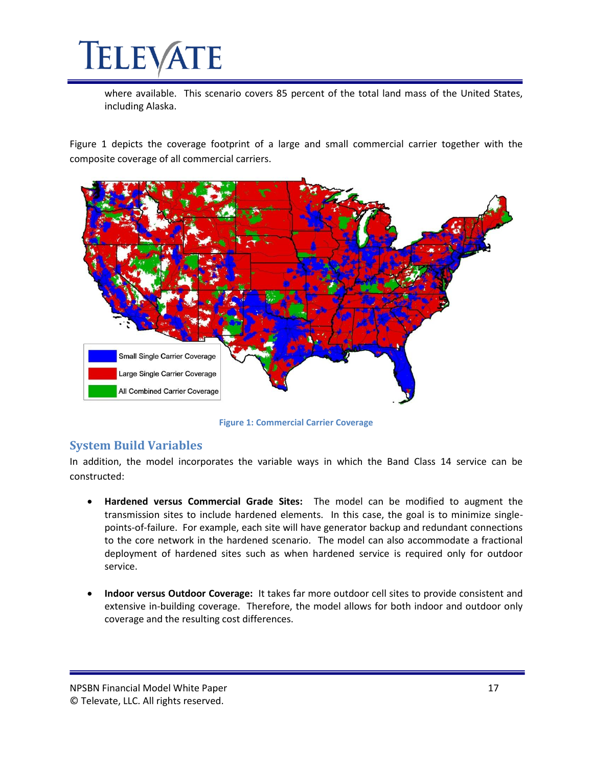where available. This scenario covers 85 percent of the total land mass of the United States, including Alaska.

Figure 1 depicts the coverage footprint of a large and small commercial carrier together with the composite coverage of all commercial carriers.



**Figure 1: Commercial Carrier Coverage**

#### <span id="page-16-1"></span><span id="page-16-0"></span>**System Build Variables**

In addition, the model incorporates the variable ways in which the Band Class 14 service can be constructed:

- **Hardened versus Commercial Grade Sites:** The model can be modified to augment the transmission sites to include hardened elements. In this case, the goal is to minimize singlepoints-of-failure. For example, each site will have generator backup and redundant connections to the core network in the hardened scenario. The model can also accommodate a fractional deployment of hardened sites such as when hardened service is required only for outdoor service.
- **Indoor versus Outdoor Coverage:** It takes far more outdoor cell sites to provide consistent and extensive in-building coverage. Therefore, the model allows for both indoor and outdoor only coverage and the resulting cost differences.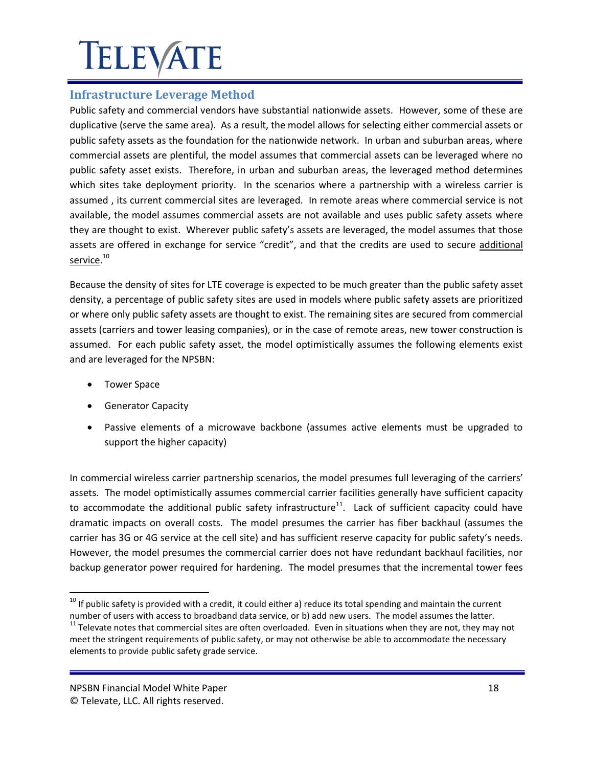### <span id="page-17-0"></span>**Infrastructure Leverage Method**

Public safety and commercial vendors have substantial nationwide assets. However, some of these are duplicative (serve the same area). As a result, the model allows for selecting either commercial assets or public safety assets as the foundation for the nationwide network. In urban and suburban areas, where commercial assets are plentiful, the model assumes that commercial assets can be leveraged where no public safety asset exists. Therefore, in urban and suburban areas, the leveraged method determines which sites take deployment priority. In the scenarios where a partnership with a wireless carrier is assumed , its current commercial sites are leveraged. In remote areas where commercial service is not available, the model assumes commercial assets are not available and uses public safety assets where they are thought to exist. Wherever public safety's assets are leveraged, the model assumes that those assets are offered in exchange for service "credit", and that the credits are used to secure additional service.<sup>10</sup>

Because the density of sites for LTE coverage is expected to be much greater than the public safety asset density, a percentage of public safety sites are used in models where public safety assets are prioritized or where only public safety assets are thought to exist. The remaining sites are secured from commercial assets (carriers and tower leasing companies), or in the case of remote areas, new tower construction is assumed. For each public safety asset, the model optimistically assumes the following elements exist and are leveraged for the NPSBN:

• Tower Space

l

- **•** Generator Capacity
- Passive elements of a microwave backbone (assumes active elements must be upgraded to support the higher capacity)

In commercial wireless carrier partnership scenarios, the model presumes full leveraging of the carriers' assets. The model optimistically assumes commercial carrier facilities generally have sufficient capacity to accommodate the additional public safety infrastructure<sup>11</sup>. Lack of sufficient capacity could have dramatic impacts on overall costs. The model presumes the carrier has fiber backhaul (assumes the carrier has 3G or 4G service at the cell site) and has sufficient reserve capacity for public safety's needs. However, the model presumes the commercial carrier does not have redundant backhaul facilities, nor backup generator power required for hardening. The model presumes that the incremental tower fees

 $^{10}$  If public safety is provided with a credit, it could either a) reduce its total spending and maintain the current number of users with access to broadband data service, or b) add new users. The model assumes the latter.

<sup>&</sup>lt;sup>11</sup> Televate notes that commercial sites are often overloaded. Even in situations when they are not, they may not meet the stringent requirements of public safety, or may not otherwise be able to accommodate the necessary elements to provide public safety grade service.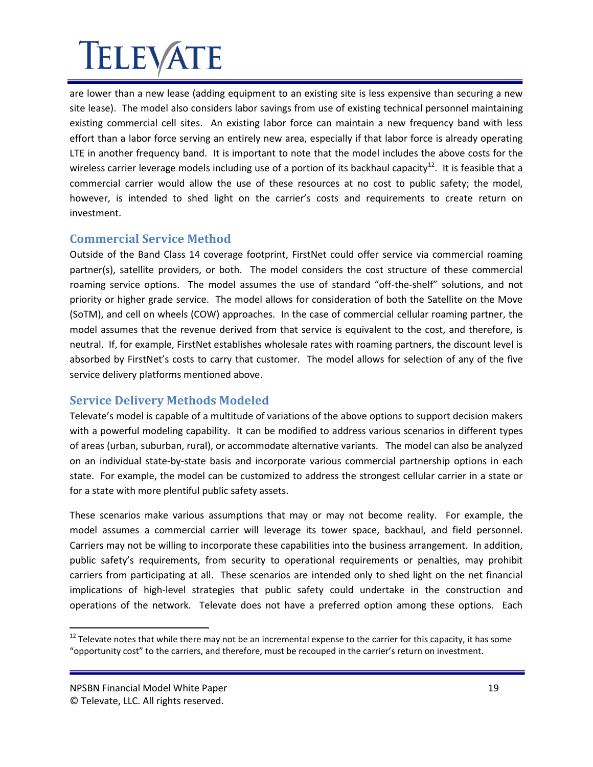are lower than a new lease (adding equipment to an existing site is less expensive than securing a new site lease). The model also considers labor savings from use of existing technical personnel maintaining existing commercial cell sites. An existing labor force can maintain a new frequency band with less effort than a labor force serving an entirely new area, especially if that labor force is already operating LTE in another frequency band. It is important to note that the model includes the above costs for the wireless carrier leverage models including use of a portion of its backhaul capacity<sup>12</sup>. It is feasible that a commercial carrier would allow the use of these resources at no cost to public safety; the model, however, is intended to shed light on the carrier's costs and requirements to create return on investment.

#### <span id="page-18-0"></span>**Commercial Service Method**

Outside of the Band Class 14 coverage footprint, FirstNet could offer service via commercial roaming partner(s), satellite providers, or both. The model considers the cost structure of these commercial roaming service options. The model assumes the use of standard "off-the-shelf" solutions, and not priority or higher grade service. The model allows for consideration of both the Satellite on the Move (SoTM), and cell on wheels (COW) approaches. In the case of commercial cellular roaming partner, the model assumes that the revenue derived from that service is equivalent to the cost, and therefore, is neutral. If, for example, FirstNet establishes wholesale rates with roaming partners, the discount level is absorbed by FirstNet's costs to carry that customer. The model allows for selection of any of the five service delivery platforms mentioned above.

#### <span id="page-18-1"></span>**Service Delivery Methods Modeled**

Televate's model is capable of a multitude of variations of the above options to support decision makers with a powerful modeling capability. It can be modified to address various scenarios in different types of areas (urban, suburban, rural), or accommodate alternative variants. The model can also be analyzed on an individual state-by-state basis and incorporate various commercial partnership options in each state. For example, the model can be customized to address the strongest cellular carrier in a state or for a state with more plentiful public safety assets.

These scenarios make various assumptions that may or may not become reality. For example, the model assumes a commercial carrier will leverage its tower space, backhaul, and field personnel. Carriers may not be willing to incorporate these capabilities into the business arrangement. In addition, public safety's requirements, from security to operational requirements or penalties, may prohibit carriers from participating at all. These scenarios are intended only to shed light on the net financial implications of high-level strategies that public safety could undertake in the construction and operations of the network. Televate does not have a preferred option among these options. Each

 $12$  Televate notes that while there may not be an incremental expense to the carrier for this capacity, it has some "opportunity cost" to the carriers, and therefore, must be recouped in the carrier's return on investment.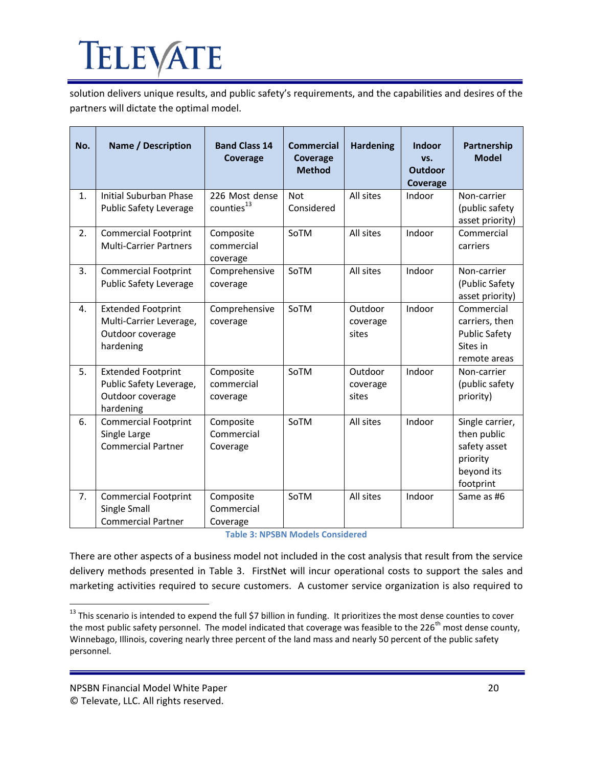solution delivers unique results, and public safety's requirements, and the capabilities and desires of the partners will dictate the optimal model.

| No. | <b>Name / Description</b>                                                             | <b>Band Class 14</b><br>Coverage         | <b>Commercial</b><br>Coverage<br><b>Method</b> | <b>Hardening</b>             | <b>Indoor</b><br>VS.<br><b>Outdoor</b><br>Coverage | Partnership<br><b>Model</b>                                                           |
|-----|---------------------------------------------------------------------------------------|------------------------------------------|------------------------------------------------|------------------------------|----------------------------------------------------|---------------------------------------------------------------------------------------|
| 1.  | Initial Suburban Phase<br><b>Public Safety Leverage</b>                               | 226 Most dense<br>counties <sup>13</sup> | <b>Not</b><br>Considered                       | All sites                    | Indoor                                             | Non-carrier<br>(public safety<br>asset priority)                                      |
| 2.  | <b>Commercial Footprint</b><br><b>Multi-Carrier Partners</b>                          | Composite<br>commercial<br>coverage      | SoTM                                           | All sites                    | Indoor                                             | Commercial<br>carriers                                                                |
| 3.  | <b>Commercial Footprint</b><br><b>Public Safety Leverage</b>                          | Comprehensive<br>coverage                | SoTM                                           | All sites                    | Indoor                                             | Non-carrier<br>(Public Safety<br>asset priority)                                      |
| 4.  | <b>Extended Footprint</b><br>Multi-Carrier Leverage,<br>Outdoor coverage<br>hardening | Comprehensive<br>coverage                | SoTM                                           | Outdoor<br>coverage<br>sites | Indoor                                             | Commercial<br>carriers, then<br><b>Public Safety</b><br>Sites in<br>remote areas      |
| 5.  | <b>Extended Footprint</b><br>Public Safety Leverage,<br>Outdoor coverage<br>hardening | Composite<br>commercial<br>coverage      | SoTM                                           | Outdoor<br>coverage<br>sites | Indoor                                             | Non-carrier<br>(public safety<br>priority)                                            |
| 6.  | <b>Commercial Footprint</b><br>Single Large<br><b>Commercial Partner</b>              | Composite<br>Commercial<br>Coverage      | SoTM                                           | All sites                    | Indoor                                             | Single carrier,<br>then public<br>safety asset<br>priority<br>beyond its<br>footprint |
| 7.  | <b>Commercial Footprint</b><br>Single Small<br><b>Commercial Partner</b>              | Composite<br>Commercial<br>Coverage      | SoTM                                           | All sites                    | Indoor                                             | Same as #6                                                                            |

#### **Table 3: NPSBN Models Considered**

<span id="page-19-0"></span>There are other aspects of a business model not included in the cost analysis that result from the service delivery methods presented in Table 3. FirstNet will incur operational costs to support the sales and marketing activities required to secure customers. A customer service organization is also required to

 $^{13}$  This scenario is intended to expend the full \$7 billion in funding. It prioritizes the most dense counties to cover the most public safety personnel. The model indicated that coverage was feasible to the 226<sup>th</sup> most dense county, Winnebago, Illinois, covering nearly three percent of the land mass and nearly 50 percent of the public safety personnel.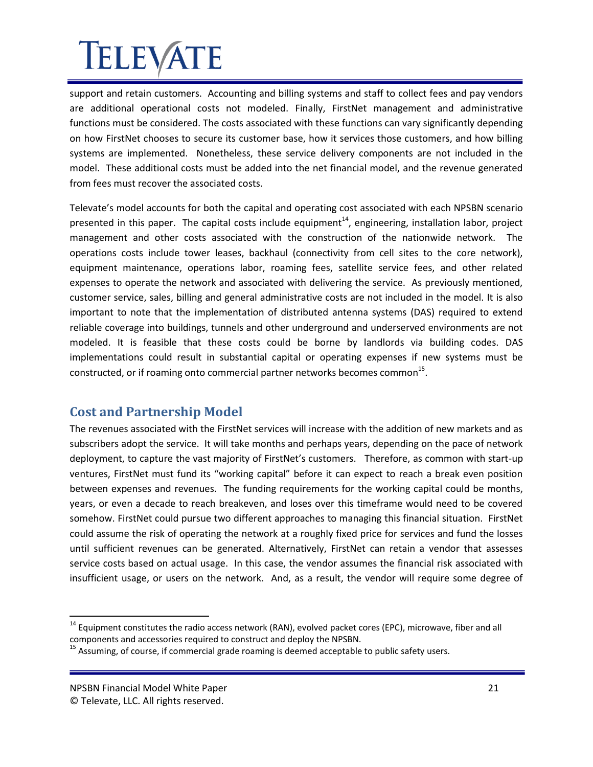support and retain customers. Accounting and billing systems and staff to collect fees and pay vendors are additional operational costs not modeled. Finally, FirstNet management and administrative functions must be considered. The costs associated with these functions can vary significantly depending on how FirstNet chooses to secure its customer base, how it services those customers, and how billing systems are implemented. Nonetheless, these service delivery components are not included in the model. These additional costs must be added into the net financial model, and the revenue generated from fees must recover the associated costs.

Televate's model accounts for both the capital and operating cost associated with each NPSBN scenario presented in this paper. The capital costs include equipment<sup>14</sup>, engineering, installation labor, project management and other costs associated with the construction of the nationwide network. The operations costs include tower leases, backhaul (connectivity from cell sites to the core network), equipment maintenance, operations labor, roaming fees, satellite service fees, and other related expenses to operate the network and associated with delivering the service. As previously mentioned, customer service, sales, billing and general administrative costs are not included in the model. It is also important to note that the implementation of distributed antenna systems (DAS) required to extend reliable coverage into buildings, tunnels and other underground and underserved environments are not modeled. It is feasible that these costs could be borne by landlords via building codes. DAS implementations could result in substantial capital or operating expenses if new systems must be constructed, or if roaming onto commercial partner networks becomes common $^{15}$ .

### <span id="page-20-0"></span>**Cost and Partnership Model**

The revenues associated with the FirstNet services will increase with the addition of new markets and as subscribers adopt the service. It will take months and perhaps years, depending on the pace of network deployment, to capture the vast majority of FirstNet's customers. Therefore, as common with start-up ventures, FirstNet must fund its "working capital" before it can expect to reach a break even position between expenses and revenues. The funding requirements for the working capital could be months, years, or even a decade to reach breakeven, and loses over this timeframe would need to be covered somehow. FirstNet could pursue two different approaches to managing this financial situation. FirstNet could assume the risk of operating the network at a roughly fixed price for services and fund the losses until sufficient revenues can be generated. Alternatively, FirstNet can retain a vendor that assesses service costs based on actual usage. In this case, the vendor assumes the financial risk associated with insufficient usage, or users on the network. And, as a result, the vendor will require some degree of

l

<sup>&</sup>lt;sup>14</sup> Equipment constitutes the radio access network (RAN), evolved packet cores (EPC), microwave, fiber and all components and accessories required to construct and deploy the NPSBN.

<sup>&</sup>lt;sup>15</sup> Assuming, of course, if commercial grade roaming is deemed acceptable to public safety users.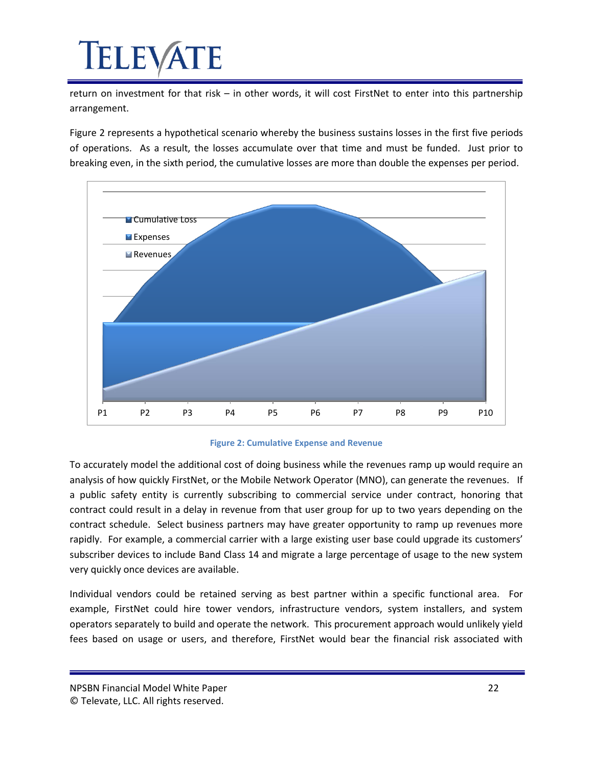# IELEVA

return on investment for that risk – in other words, it will cost FirstNet to enter into this partnership arrangement.

[Figure 2](#page-21-0) represents a hypothetical scenario whereby the business sustains losses in the first five periods of operations. As a result, the losses accumulate over that time and must be funded. Just prior to breaking even, in the sixth period, the cumulative losses are more than double the expenses per period.



#### **Figure 2: Cumulative Expense and Revenue**

<span id="page-21-0"></span>To accurately model the additional cost of doing business while the revenues ramp up would require an analysis of how quickly FirstNet, or the Mobile Network Operator (MNO), can generate the revenues. If a public safety entity is currently subscribing to commercial service under contract, honoring that contract could result in a delay in revenue from that user group for up to two years depending on the contract schedule. Select business partners may have greater opportunity to ramp up revenues more rapidly. For example, a commercial carrier with a large existing user base could upgrade its customers' subscriber devices to include Band Class 14 and migrate a large percentage of usage to the new system very quickly once devices are available.

Individual vendors could be retained serving as best partner within a specific functional area. For example, FirstNet could hire tower vendors, infrastructure vendors, system installers, and system operators separately to build and operate the network. This procurement approach would unlikely yield fees based on usage or users, and therefore, FirstNet would bear the financial risk associated with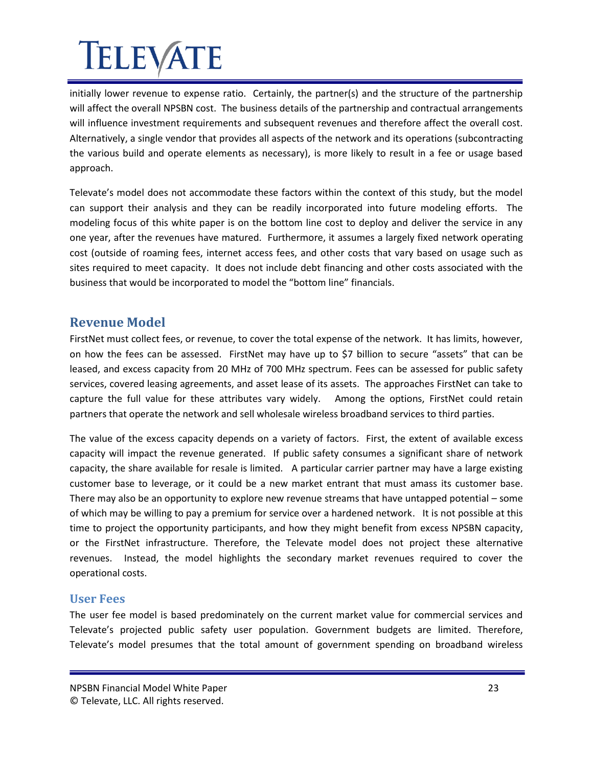initially lower revenue to expense ratio. Certainly, the partner(s) and the structure of the partnership will affect the overall NPSBN cost. The business details of the partnership and contractual arrangements will influence investment requirements and subsequent revenues and therefore affect the overall cost. Alternatively, a single vendor that provides all aspects of the network and its operations (subcontracting the various build and operate elements as necessary), is more likely to result in a fee or usage based approach.

Televate's model does not accommodate these factors within the context of this study, but the model can support their analysis and they can be readily incorporated into future modeling efforts. The modeling focus of this white paper is on the bottom line cost to deploy and deliver the service in any one year, after the revenues have matured. Furthermore, it assumes a largely fixed network operating cost (outside of roaming fees, internet access fees, and other costs that vary based on usage such as sites required to meet capacity. It does not include debt financing and other costs associated with the business that would be incorporated to model the "bottom line" financials.

#### <span id="page-22-0"></span>**Revenue Model**

FirstNet must collect fees, or revenue, to cover the total expense of the network. It has limits, however, on how the fees can be assessed. FirstNet may have up to \$7 billion to secure "assets" that can be leased, and excess capacity from 20 MHz of 700 MHz spectrum. Fees can be assessed for public safety services, covered leasing agreements, and asset lease of its assets. The approaches FirstNet can take to capture the full value for these attributes vary widely. Among the options, FirstNet could retain partners that operate the network and sell wholesale wireless broadband services to third parties.

The value of the excess capacity depends on a variety of factors. First, the extent of available excess capacity will impact the revenue generated. If public safety consumes a significant share of network capacity, the share available for resale is limited. A particular carrier partner may have a large existing customer base to leverage, or it could be a new market entrant that must amass its customer base. There may also be an opportunity to explore new revenue streams that have untapped potential – some of which may be willing to pay a premium for service over a hardened network. It is not possible at this time to project the opportunity participants, and how they might benefit from excess NPSBN capacity, or the FirstNet infrastructure. Therefore, the Televate model does not project these alternative revenues. Instead, the model highlights the secondary market revenues required to cover the operational costs.

#### <span id="page-22-1"></span>**User Fees**

The user fee model is based predominately on the current market value for commercial services and Televate's projected public safety user population. Government budgets are limited. Therefore, Televate's model presumes that the total amount of government spending on broadband wireless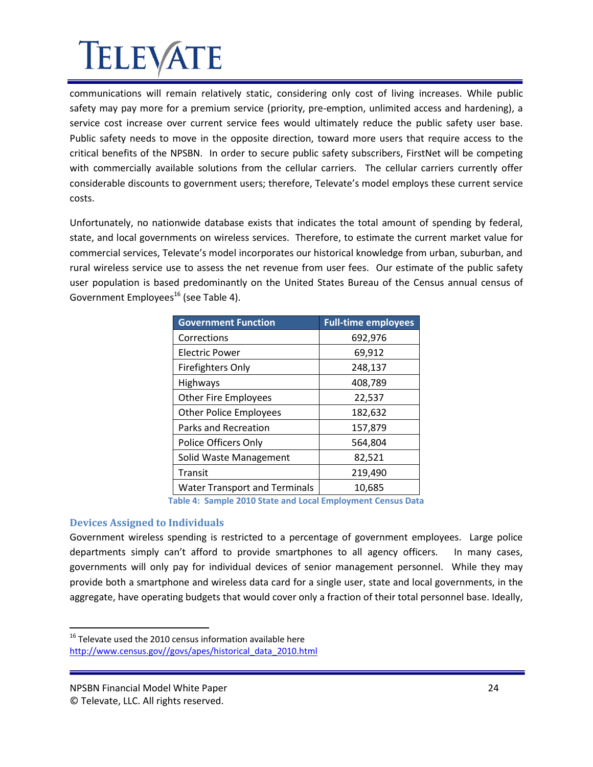communications will remain relatively static, considering only cost of living increases. While public safety may pay more for a premium service (priority, pre-emption, unlimited access and hardening), a service cost increase over current service fees would ultimately reduce the public safety user base. Public safety needs to move in the opposite direction, toward more users that require access to the critical benefits of the NPSBN. In order to secure public safety subscribers, FirstNet will be competing with commercially available solutions from the cellular carriers. The cellular carriers currently offer considerable discounts to government users; therefore, Televate's model employs these current service costs.

Unfortunately, no nationwide database exists that indicates the total amount of spending by federal, state, and local governments on wireless services. Therefore, to estimate the current market value for commercial services, Televate's model incorporates our historical knowledge from urban, suburban, and rural wireless service use to assess the net revenue from user fees. Our estimate of the public safety user population is based predominantly on the United States Bureau of the Census annual census of Government Employees<sup>16</sup> (see Table 4).

| <b>Government Function</b>           | <b>Full-time employees</b> |
|--------------------------------------|----------------------------|
| Corrections                          | 692,976                    |
| Electric Power                       | 69,912                     |
| <b>Firefighters Only</b>             | 248,137                    |
| <b>Highways</b>                      | 408,789                    |
| <b>Other Fire Employees</b>          | 22,537                     |
| <b>Other Police Employees</b>        | 182,632                    |
| Parks and Recreation                 | 157,879                    |
| Police Officers Only                 | 564,804                    |
| Solid Waste Management               | 82,521                     |
| Transit                              | 219,490                    |
| <b>Water Transport and Terminals</b> | 10,685                     |

**Table 4: Sample 2010 State and Local Employment Census Data**

#### <span id="page-23-1"></span><span id="page-23-0"></span>**Devices Assigned to Individuals**

Government wireless spending is restricted to a percentage of government employees. Large police departments simply can't afford to provide smartphones to all agency officers. In many cases, governments will only pay for individual devices of senior management personnel. While they may provide both a smartphone and wireless data card for a single user, state and local governments, in the aggregate, have operating budgets that would cover only a fraction of their total personnel base. Ideally,

<sup>&</sup>lt;sup>16</sup> Televate used the 2010 census information available here

[http://www.census.gov//govs/apes/historical\\_data\\_2010.html](http://www.census.gov/govs/apes/historical_data_2010.html)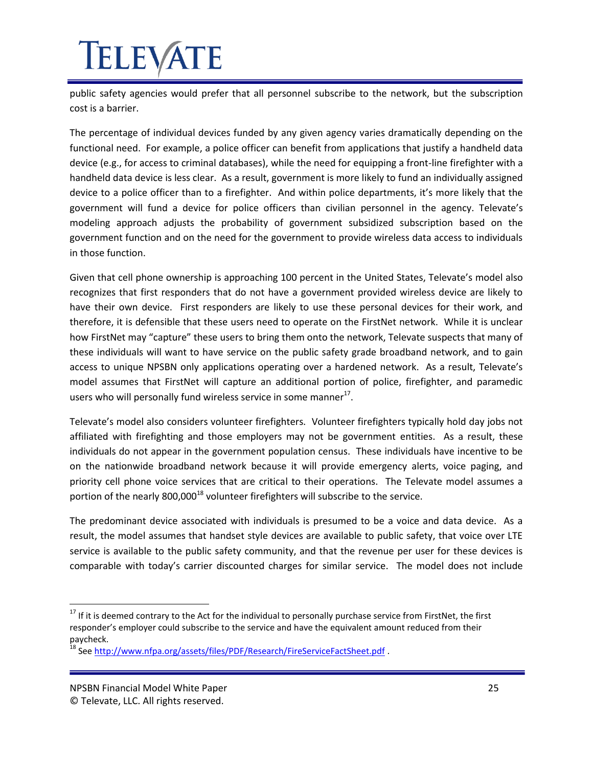# **IELEVATE**

public safety agencies would prefer that all personnel subscribe to the network, but the subscription cost is a barrier.

The percentage of individual devices funded by any given agency varies dramatically depending on the functional need. For example, a police officer can benefit from applications that justify a handheld data device (e.g., for access to criminal databases), while the need for equipping a front-line firefighter with a handheld data device is less clear. As a result, government is more likely to fund an individually assigned device to a police officer than to a firefighter. And within police departments, it's more likely that the government will fund a device for police officers than civilian personnel in the agency. Televate's modeling approach adjusts the probability of government subsidized subscription based on the government function and on the need for the government to provide wireless data access to individuals in those function.

Given that cell phone ownership is approaching 100 percent in the United States, Televate's model also recognizes that first responders that do not have a government provided wireless device are likely to have their own device. First responders are likely to use these personal devices for their work, and therefore, it is defensible that these users need to operate on the FirstNet network. While it is unclear how FirstNet may "capture" these users to bring them onto the network, Televate suspects that many of these individuals will want to have service on the public safety grade broadband network, and to gain access to unique NPSBN only applications operating over a hardened network. As a result, Televate's model assumes that FirstNet will capture an additional portion of police, firefighter, and paramedic users who will personally fund wireless service in some manner $^{17}$ .

Televate's model also considers volunteer firefighters. Volunteer firefighters typically hold day jobs not affiliated with firefighting and those employers may not be government entities. As a result, these individuals do not appear in the government population census. These individuals have incentive to be on the nationwide broadband network because it will provide emergency alerts, voice paging, and priority cell phone voice services that are critical to their operations. The Televate model assumes a portion of the nearly  $800,000^{18}$  volunteer firefighters will subscribe to the service.

The predominant device associated with individuals is presumed to be a voice and data device. As a result, the model assumes that handset style devices are available to public safety, that voice over LTE service is available to the public safety community, and that the revenue per user for these devices is comparable with today's carrier discounted charges for similar service. The model does not include

<sup>&</sup>lt;sup>17</sup> If it is deemed contrary to the Act for the individual to personally purchase service from FirstNet, the first responder's employer could subscribe to the service and have the equivalent amount reduced from their paycheck.

<sup>&</sup>lt;sup>18</sup> See <u>http://www.nfpa.org/assets/files/PDF/Research/FireServiceFactSheet.pdf</u> .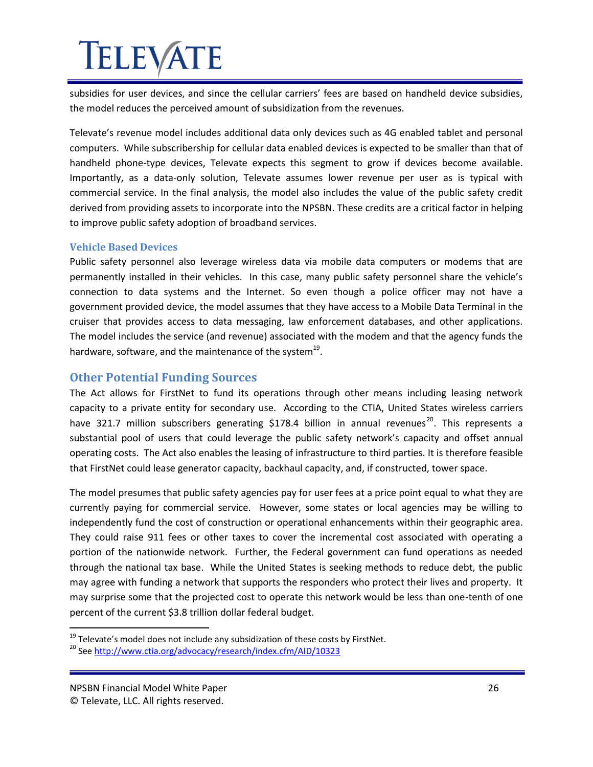subsidies for user devices, and since the cellular carriers' fees are based on handheld device subsidies, the model reduces the perceived amount of subsidization from the revenues.

Televate's revenue model includes additional data only devices such as 4G enabled tablet and personal computers. While subscribership for cellular data enabled devices is expected to be smaller than that of handheld phone-type devices, Televate expects this segment to grow if devices become available. Importantly, as a data-only solution, Televate assumes lower revenue per user as is typical with commercial service. In the final analysis, the model also includes the value of the public safety credit derived from providing assets to incorporate into the NPSBN. These credits are a critical factor in helping to improve public safety adoption of broadband services.

#### <span id="page-25-0"></span>**Vehicle Based Devices**

Public safety personnel also leverage wireless data via mobile data computers or modems that are permanently installed in their vehicles. In this case, many public safety personnel share the vehicle's connection to data systems and the Internet. So even though a police officer may not have a government provided device, the model assumes that they have access to a Mobile Data Terminal in the cruiser that provides access to data messaging, law enforcement databases, and other applications. The model includes the service (and revenue) associated with the modem and that the agency funds the hardware, software, and the maintenance of the system $^{19}$ .

#### <span id="page-25-1"></span>**Other Potential Funding Sources**

The Act allows for FirstNet to fund its operations through other means including leasing network capacity to a private entity for secondary use. According to the CTIA, United States wireless carriers have 321.7 million subscribers generating \$178.4 billion in annual revenues<sup>20</sup>. This represents a substantial pool of users that could leverage the public safety network's capacity and offset annual operating costs. The Act also enables the leasing of infrastructure to third parties. It is therefore feasible that FirstNet could lease generator capacity, backhaul capacity, and, if constructed, tower space.

The model presumes that public safety agencies pay for user fees at a price point equal to what they are currently paying for commercial service. However, some states or local agencies may be willing to independently fund the cost of construction or operational enhancements within their geographic area. They could raise 911 fees or other taxes to cover the incremental cost associated with operating a portion of the nationwide network. Further, the Federal government can fund operations as needed through the national tax base. While the United States is seeking methods to reduce debt, the public may agree with funding a network that supports the responders who protect their lives and property. It may surprise some that the projected cost to operate this network would be less than one-tenth of one percent of the current \$3.8 trillion dollar federal budget.

 $19$  Televate's model does not include any subsidization of these costs by FirstNet.

<sup>&</sup>lt;sup>20</sup> Se[e http://www.ctia.org/advocacy/research/index.cfm/AID/10323](http://www.ctia.org/advocacy/research/index.cfm/AID/10323)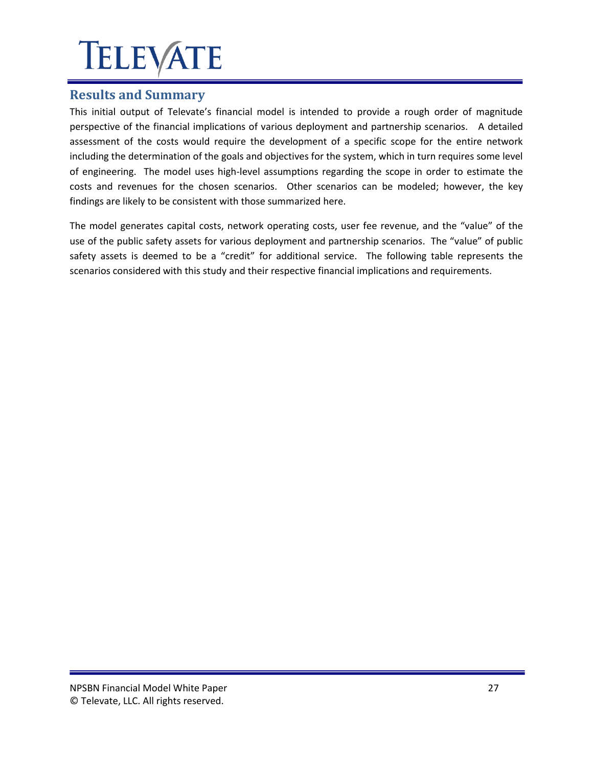### <span id="page-26-0"></span>**Results and Summary**

This initial output of Televate's financial model is intended to provide a rough order of magnitude perspective of the financial implications of various deployment and partnership scenarios. A detailed assessment of the costs would require the development of a specific scope for the entire network including the determination of the goals and objectives for the system, which in turn requires some level of engineering. The model uses high-level assumptions regarding the scope in order to estimate the costs and revenues for the chosen scenarios. Other scenarios can be modeled; however, the key findings are likely to be consistent with those summarized here.

The model generates capital costs, network operating costs, user fee revenue, and the "value" of the use of the public safety assets for various deployment and partnership scenarios. The "value" of public safety assets is deemed to be a "credit" for additional service. The following table represents the scenarios considered with this study and their respective financial implications and requirements.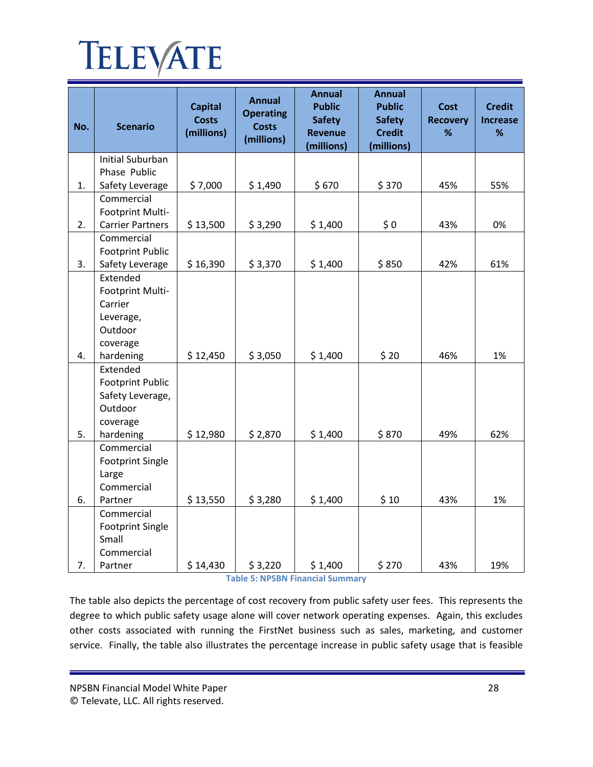| No. | <b>Scenario</b>         | <b>Capital</b><br><b>Costs</b><br>(millions) | <b>Annual</b><br><b>Operating</b><br><b>Costs</b><br>(millions) | <b>Annual</b><br><b>Public</b><br><b>Safety</b><br><b>Revenue</b> | <b>Annual</b><br><b>Public</b><br><b>Safety</b><br><b>Credit</b> | <b>Cost</b><br><b>Recovery</b><br>% | <b>Credit</b><br><b>Increase</b><br>% |
|-----|-------------------------|----------------------------------------------|-----------------------------------------------------------------|-------------------------------------------------------------------|------------------------------------------------------------------|-------------------------------------|---------------------------------------|
|     | <b>Initial Suburban</b> |                                              |                                                                 | (millions)                                                        | (millions)                                                       |                                     |                                       |
|     | Phase Public            |                                              |                                                                 |                                                                   |                                                                  |                                     |                                       |
| 1.  | Safety Leverage         | \$7,000                                      | \$1,490                                                         | \$670                                                             | \$370                                                            | 45%                                 | 55%                                   |
|     | Commercial              |                                              |                                                                 |                                                                   |                                                                  |                                     |                                       |
|     | Footprint Multi-        |                                              |                                                                 |                                                                   |                                                                  |                                     |                                       |
| 2.  | <b>Carrier Partners</b> | \$13,500                                     | \$3,290                                                         | \$1,400                                                           | \$0                                                              | 43%                                 | 0%                                    |
|     | Commercial              |                                              |                                                                 |                                                                   |                                                                  |                                     |                                       |
|     | <b>Footprint Public</b> |                                              |                                                                 |                                                                   |                                                                  |                                     |                                       |
| 3.  | Safety Leverage         | \$16,390                                     | \$3,370                                                         | \$1,400                                                           | \$850                                                            | 42%                                 | 61%                                   |
|     | Extended                |                                              |                                                                 |                                                                   |                                                                  |                                     |                                       |
|     | Footprint Multi-        |                                              |                                                                 |                                                                   |                                                                  |                                     |                                       |
|     | Carrier                 |                                              |                                                                 |                                                                   |                                                                  |                                     |                                       |
|     | Leverage,               |                                              |                                                                 |                                                                   |                                                                  |                                     |                                       |
|     | Outdoor                 |                                              |                                                                 |                                                                   |                                                                  |                                     |                                       |
|     | coverage                |                                              |                                                                 |                                                                   |                                                                  |                                     |                                       |
| 4.  | hardening<br>Extended   | \$12,450                                     | \$3,050                                                         | \$1,400                                                           | \$20                                                             | 46%                                 | 1%                                    |
|     | <b>Footprint Public</b> |                                              |                                                                 |                                                                   |                                                                  |                                     |                                       |
|     | Safety Leverage,        |                                              |                                                                 |                                                                   |                                                                  |                                     |                                       |
|     | Outdoor                 |                                              |                                                                 |                                                                   |                                                                  |                                     |                                       |
|     | coverage                |                                              |                                                                 |                                                                   |                                                                  |                                     |                                       |
| 5.  | hardening               | \$12,980                                     | \$2,870                                                         | \$1,400                                                           | \$870                                                            | 49%                                 | 62%                                   |
|     | Commercial              |                                              |                                                                 |                                                                   |                                                                  |                                     |                                       |
|     | <b>Footprint Single</b> |                                              |                                                                 |                                                                   |                                                                  |                                     |                                       |
|     | Large                   |                                              |                                                                 |                                                                   |                                                                  |                                     |                                       |
|     | Commercial              |                                              |                                                                 |                                                                   |                                                                  |                                     |                                       |
| 6.  | Partner                 | \$13,550                                     | \$3,280                                                         | \$1,400                                                           | \$10                                                             | 43%                                 | 1%                                    |
|     | Commercial              |                                              |                                                                 |                                                                   |                                                                  |                                     |                                       |
|     | <b>Footprint Single</b> |                                              |                                                                 |                                                                   |                                                                  |                                     |                                       |
|     | Small                   |                                              |                                                                 |                                                                   |                                                                  |                                     |                                       |
|     | Commercial              |                                              |                                                                 |                                                                   |                                                                  |                                     |                                       |
| 7.  | Partner                 | \$14,430                                     | \$3,220                                                         | \$1,400                                                           | \$270                                                            | 43%                                 | 19%                                   |

**Table 5: NPSBN Financial Summary**

<span id="page-27-0"></span>The table also depicts the percentage of cost recovery from public safety user fees. This represents the degree to which public safety usage alone will cover network operating expenses. Again, this excludes other costs associated with running the FirstNet business such as sales, marketing, and customer service. Finally, the table also illustrates the percentage increase in public safety usage that is feasible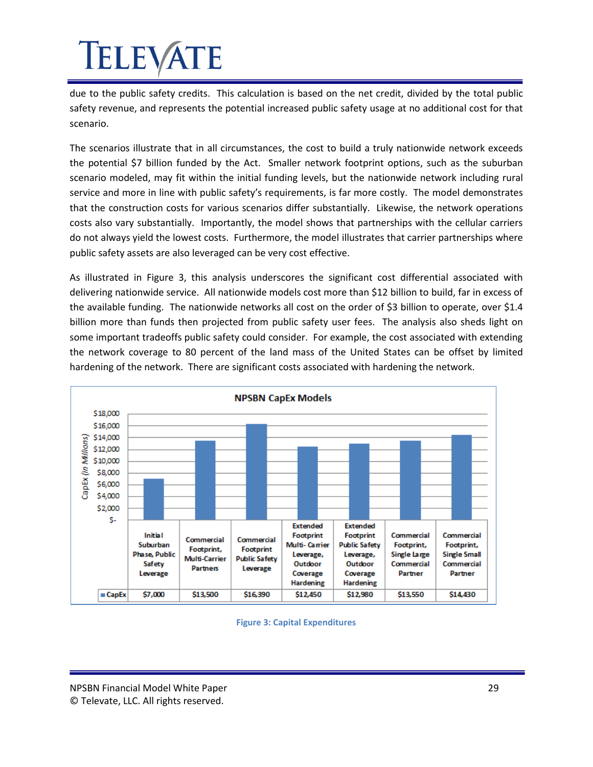due to the public safety credits. This calculation is based on the net credit, divided by the total public safety revenue, and represents the potential increased public safety usage at no additional cost for that scenario.

The scenarios illustrate that in all circumstances, the cost to build a truly nationwide network exceeds the potential \$7 billion funded by the Act. Smaller network footprint options, such as the suburban scenario modeled, may fit within the initial funding levels, but the nationwide network including rural service and more in line with public safety's requirements, is far more costly. The model demonstrates that the construction costs for various scenarios differ substantially. Likewise, the network operations costs also vary substantially. Importantly, the model shows that partnerships with the cellular carriers do not always yield the lowest costs. Furthermore, the model illustrates that carrier partnerships where public safety assets are also leveraged can be very cost effective.

As illustrated in Figure 3, this analysis underscores the significant cost differential associated with delivering nationwide service. All nationwide models cost more than \$12 billion to build, far in excess of the available funding. The nationwide networks all cost on the order of \$3 billion to operate, over \$1.4 billion more than funds then projected from public safety user fees. The analysis also sheds light on some important tradeoffs public safety could consider. For example, the cost associated with extending the network coverage to 80 percent of the land mass of the United States can be offset by limited hardening of the network. There are significant costs associated with hardening the network.



<span id="page-28-0"></span>**Figure 3: Capital Expenditures**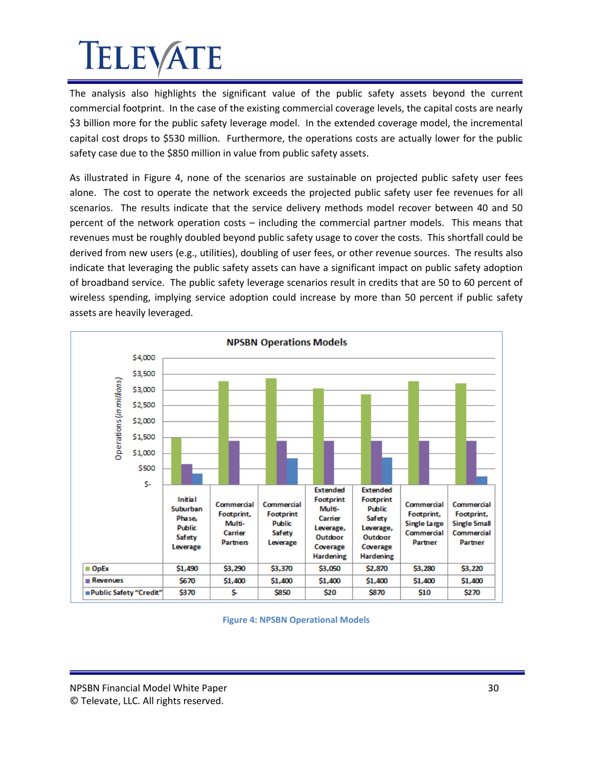The analysis also highlights the significant value of the public safety assets beyond the current commercial footprint. In the case of the existing commercial coverage levels, the capital costs are nearly \$3 billion more for the public safety leverage model. In the extended coverage model, the incremental capital cost drops to \$530 million. Furthermore, the operations costs are actually lower for the public safety case due to the \$850 million in value from public safety assets.

As illustrated in Figure 4, none of the scenarios are sustainable on projected public safety user fees alone. The cost to operate the network exceeds the projected public safety user fee revenues for all scenarios. The results indicate that the service delivery methods model recover between 40 and 50 percent of the network operation costs – including the commercial partner models. This means that revenues must be roughly doubled beyond public safety usage to cover the costs. This shortfall could be derived from new users (e.g., utilities), doubling of user fees, or other revenue sources. The results also indicate that leveraging the public safety assets can have a significant impact on public safety adoption of broadband service. The public safety leverage scenarios result in credits that are 50 to 60 percent of wireless spending, implying service adoption could increase by more than 50 percent if public safety assets are heavily leveraged.



<span id="page-29-0"></span>**Figure 4: NPSBN Operational Models**